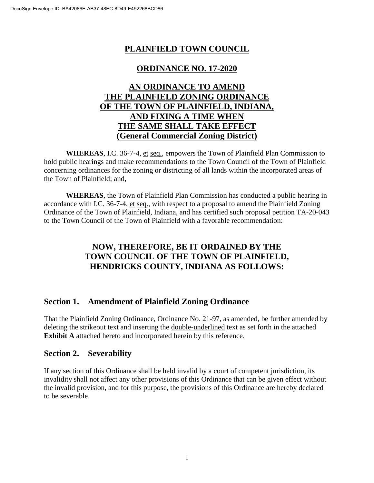## **PLAINFIELD TOWN COUNCIL**

### **ORDINANCE NO. 17-2020**

## **AN ORDINANCE TO AMEND THE PLAINFIELD ZONING ORDINANCE OF THE TOWN OF PLAINFIELD, INDIANA, AND FIXING A TIME WHEN THE SAME SHALL TAKE EFFECT (General Commercial Zoning District)**

**WHEREAS**, I.C. 36-7-4, et seq., empowers the Town of Plainfield Plan Commission to hold public hearings and make recommendations to the Town Council of the Town of Plainfield concerning ordinances for the zoning or districting of all lands within the incorporated areas of the Town of Plainfield; and,

**WHEREAS**, the Town of Plainfield Plan Commission has conducted a public hearing in accordance with I.C. 36-7-4, et seq., with respect to a proposal to amend the Plainfield Zoning Ordinance of the Town of Plainfield, Indiana, and has certified such proposal petition TA-20-043 to the Town Council of the Town of Plainfield with a favorable recommendation:

# **NOW, THEREFORE, BE IT ORDAINED BY THE TOWN COUNCIL OF THE TOWN OF PLAINFIELD, HENDRICKS COUNTY, INDIANA AS FOLLOWS:**

### **Section 1. Amendment of Plainfield Zoning Ordinance**

That the Plainfield Zoning Ordinance, Ordinance No. 21-97, as amended, be further amended by deleting the strikeout text and inserting the double-underlined text as set forth in the attached **Exhibit A** attached hereto and incorporated herein by this reference.

#### **Section 2. Severability**

If any section of this Ordinance shall be held invalid by a court of competent jurisdiction, its invalidity shall not affect any other provisions of this Ordinance that can be given effect without the invalid provision, and for this purpose, the provisions of this Ordinance are hereby declared to be severable.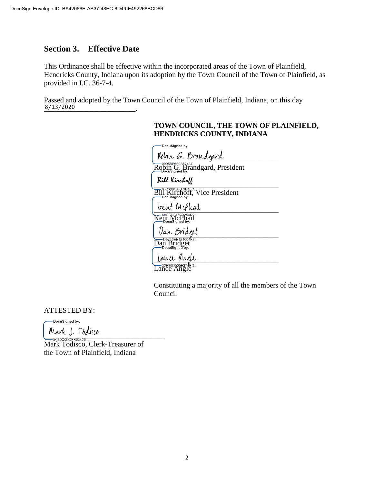### **Section 3. Effective Date**

This Ordinance shall be effective within the incorporated areas of the Town of Plainfield, Hendricks County, Indiana upon its adoption by the Town Council of the Town of Plainfield, as provided in I.C. 36-7-4.

Passed and adopted by the Town Council of the Town of Plainfield, Indiana, on this day \_\_\_\_\_\_\_\_\_\_\_\_\_\_\_\_\_\_\_\_\_\_\_\_\_. 8/13/2020

#### **TOWN COUNCIL, THE TOWN OF PLAINFIELD, HENDRICKS COUNTY, INDIANA**

| DocuSigned by:                                                        |
|-----------------------------------------------------------------------|
| Robin G. Brandgard                                                    |
| 0995BF6F9B57437.<br>Robin G. Brandgard, President                     |
| Bill Kirch <b>off</b>                                                 |
| <b>ECGO8CAFF9B48C</b><br>  Kirchoff, Vice President<br>DocuSigned by: |
| tent Mephail                                                          |
| Kent McPhail                                                          |
| <i>Van Bridget</i>                                                    |
| D9736EE181004F8<br>Dan Bridget<br>DocuSigned by:                      |
| lance angle                                                           |
| -32E36D005E374BD                                                      |

Lance Angle

Constituting a majority of all the members of the Town Council

ATTESTED BY:

-DocuSigned by:

 $V$ 

Mark Todisco, Clerk-Treasurer of the Town of Plainfield, Indiana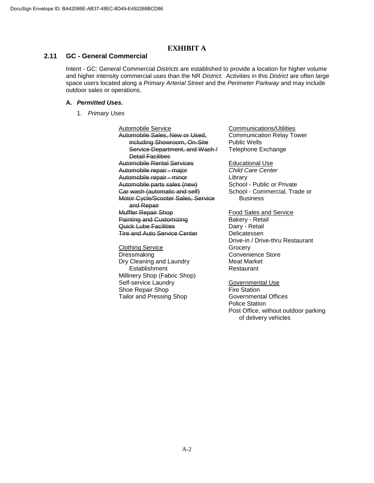#### **EXHIBIT A**

#### **2.11 GC - General Commercial**

Intent - GC: General Commercial *Districts* are established to provide a location for higher volume and higher intensity commercial uses than the NR *District*. Activities in this *District* are often large space users located along a *Primary Arterial Street* and the *Perimeter Parkway* and may include outdoor sales or operations.

#### **A.** *Permitted Uses***.**

1. *Primary Uses*

Automobile Service Automobile Sales, New or Used, including Showroom, On-Site Service Department, and Wash / Detail Facilities Automobile Rental Services Automobile repair - major Automobile repair - minor Automobile parts sales (new) Car wash (automatic and self) Motor Cycle/Scooter Sales, Service and Repair Muffler Repair Shop Painting and Customizing Quick Lube Facilities Tire and Auto Service Center

Clothing Service Dressmaking Dry Cleaning and Laundry Establishment Millinery Shop (Fabric Shop) Self-service Laundry Shoe Repair Shop Tailor and Pressing Shop

Communications/Utilities Communication Relay Tower Public Wells Telephone Exchange

Educational Use *Child Care Center* Library School - Public or Private School - Commercial, Trade or Business

Food Sales and Service Bakery - Retail Dairy - Retail Delicatessen Drive-in / Drive-thru Restaurant **Grocery** Convenience Store Meat Market Restaurant

Governmental Use Fire Station Governmental Offices Police Station Post Office, without outdoor parking of delivery vehicles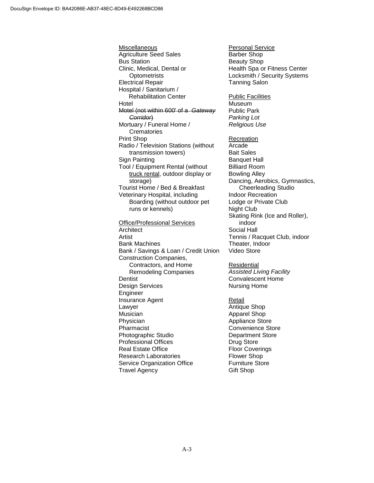Miscellaneous Agriculture Seed Sales Bus Station Clinic, Medical, Dental or **Optometrists** Electrical Repair Hospital / Sanitarium / Rehabilitation Center Hotel Motel (not within 600' of a *Gateway Corridor*) Mortuary / Funeral Home / **Crematories** Print Shop Radio / Television Stations (without transmission towers) Sign Painting Tool / Equipment Rental (without truck rental, outdoor display or storage) Tourist Home / Bed & Breakfast Veterinary Hospital, including Boarding (without outdoor pet runs or kennels) Office/Professional Services **Architect** Artist Bank Machines Bank / Savings & Loan / Credit Union Construction Companies, Contractors, and Home Remodeling Companies **Dentist** Design Services **Engineer** Insurance Agent Lawyer Musician Physician Pharmacist Photographic Studio Professional Offices Real Estate Office Research Laboratories Service Organization Office Travel Agency

Personal Service Barber Shop Beauty Shop Health Spa or Fitness Center Locksmith / Security Systems Tanning Salon Public Facilities Museum Public Park *Parking Lot Religious Use* **Recreation** Arcade Bait Sales Banquet Hall Billiard Room Bowling Alley Dancing, Aerobics, Gymnastics, Cheerleading Studio Indoor Recreation Lodge or Private Club Night Club Skating Rink (Ice and Roller), indoor Social Hall Tennis / Racquet Club, indoor Theater, Indoor Video Store Residential *Assisted Living Facility* Convalescent Home Nursing Home

Retail Antique Shop Apparel Shop Appliance Store Convenience Store Department Store Drug Store Floor Coverings Flower Shop Furniture Store Gift Shop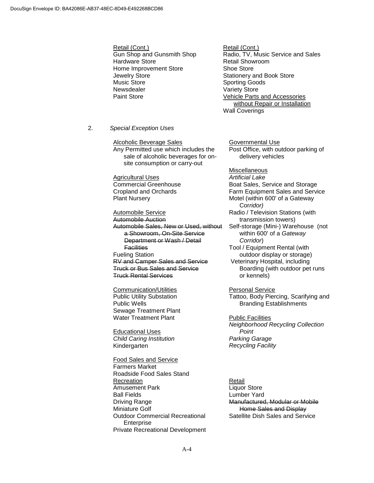Retail (Cont.) Gun Shop and Gunsmith Shop Hardware Store Home Improvement Store Jewelry Store Music Store Newsdealer Paint Store

Retail (Cont.) Radio, TV, Music Service and Sales Retail Showroom Shoe Store Stationery and Book Store Sporting Goods Variety Store Vehicle Parts and Accessories without Repair or Installation Wall Coverings

2. *Special Exception Uses*

Alcoholic Beverage Sales Any Permitted use which includes the sale of alcoholic beverages for onsite consumption or carry-out

**Agricultural Uses** Commercial Greenhouse Cropland and Orchards Plant Nursery

Automobile Service Automobile Auction Automobile Sales, New or Used, without a Showroom, On-Site Service Department or Wash / Detail **Facilities** Fueling Station RV and Camper Sales and Service Truck or Bus Sales and Service Truck Rental Services

Communication/Utilities Public Utility Substation Public Wells Sewage Treatment Plant Water Treatment Plant

Educational Uses *Child Caring Institution* Kindergarten

Food Sales and Service Farmers Market Roadside Food Sales Stand Recreation Amusement Park Ball Fields Driving Range Miniature Golf Outdoor Commercial Recreational Enterprise Private Recreational Development Governmental Use Post Office, with outdoor parking of delivery vehicles

**Miscellaneous** *Artificial Lake* Boat Sales, Service and Storage Farm Equipment Sales and Service Motel (within 600' of a Gateway Cor*ridor)* Radio / Television Stations (with transmission towers) Self-storage (Mini-) Warehouse (not within 600' of a *Gateway Corridor*) Tool / Equipment Rental (with outdoor display or storage) Veterinary Hospital, including Boarding (with outdoor pet runs or kennels)

Personal Service Tattoo, Body Piercing, Scarifying and Branding Establishments

Public Facilities *Neighborhood Recycling Collection Point Parking Garage Recycling Facility*

Retail Liquor Store Lumber Yard Manufactured, Modular or Mobile Home Sales and Display Satellite Dish Sales and Service